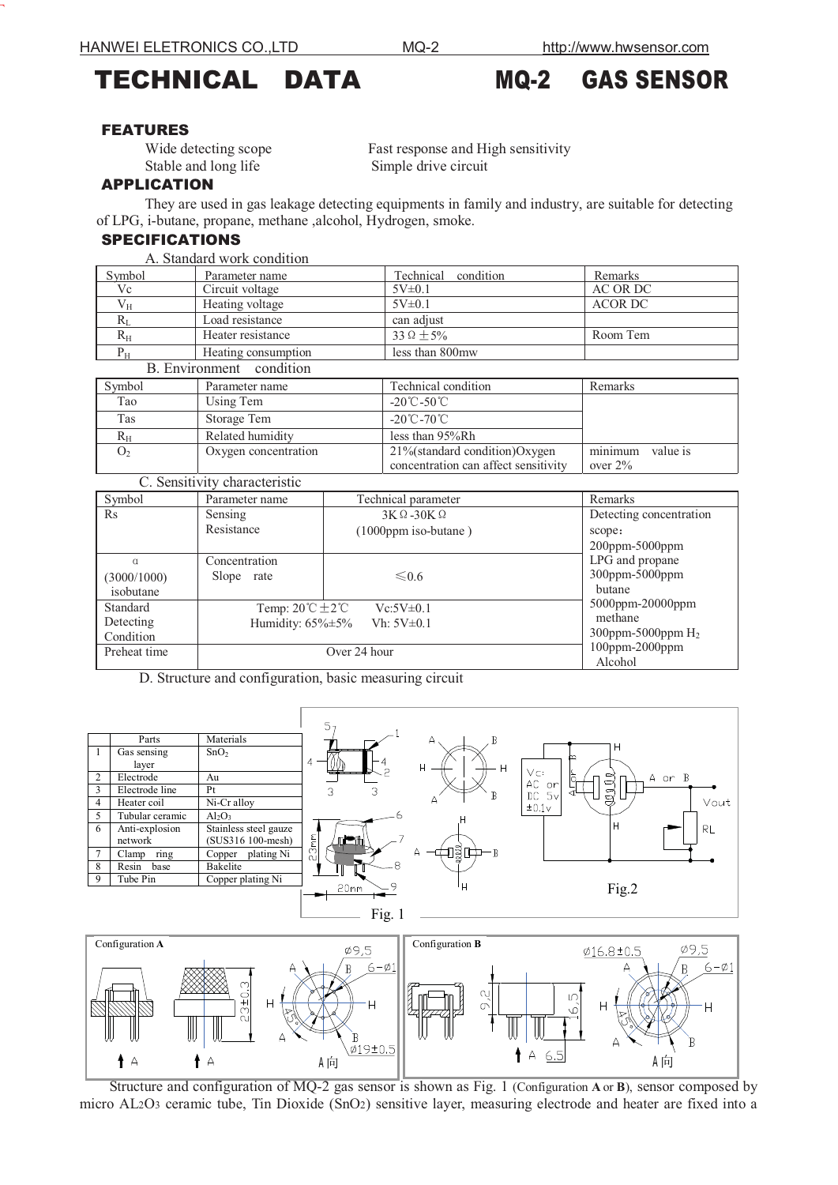# TECHNICAL DATA MQ-2 GAS SENSOR

### FEATURES

**F** 

Stable and long life Simple drive circuit

Wide detecting scope Fast response and High sensitivity

### APPLICATION

They are used in gas leakage detecting equipments in family and industry, are suitable for detecting of LPG, i-butane, propane, methane ,alcohol, Hydrogen, smoke.

# SPECIFICATIONS

| A. Standard work condition |                     |                     |                |  |  |
|----------------------------|---------------------|---------------------|----------------|--|--|
| Symbol                     | Parameter name      | Technical condition | Remarks        |  |  |
| Vc                         | Circuit voltage     | 5V±0.1              | AC OR DC       |  |  |
| $V_{H}$                    | Heating voltage     | $5V\pm0.1$          | <b>ACOR DC</b> |  |  |
| $R_I$                      | Load resistance     | can adjust          |                |  |  |
| $R_{\rm H}$                | Heater resistance   | $33\Omega + 5\%$    | Room Tem       |  |  |
| $P_{H}$                    | Heating consumption | less than 800mw     |                |  |  |
| B Environment condition    |                     |                     |                |  |  |

| $Pi$ $EII$ of $VII$ of $VII$ of $VII$ of $VII$ |                      |                                      |                     |  |
|------------------------------------------------|----------------------|--------------------------------------|---------------------|--|
| Symbol                                         | Parameter name       | Technical condition                  | Remarks             |  |
| Tao                                            | Using Tem            | $-20^{\circ}$ C $-50^{\circ}$ C      |                     |  |
| Tas                                            | Storage Tem          | $-20^{\circ}$ C $-70^{\circ}$ C      |                     |  |
| Rн                                             | Related humidity     | less than 95%Rh                      |                     |  |
| O <sub>2</sub>                                 | Oxygen concentration | $21\%$ (standard condition) Oxygen   | minimum<br>value is |  |
|                                                |                      | concentration can affect sensitivity | over $2\%$          |  |

| C. Sensitivity characteristic        |                                                                                                       |                                                   |                                                        |  |  |
|--------------------------------------|-------------------------------------------------------------------------------------------------------|---------------------------------------------------|--------------------------------------------------------|--|--|
| Symbol                               | Parameter name                                                                                        | Technical parameter                               | Remarks                                                |  |  |
| $\rm Rs$                             | Sensing<br>Resistance                                                                                 | $3K\Omega - 30K\Omega$<br>$(1000$ ppm iso-butane) | Detecting concentration<br>scope:<br>$200$ ppm-5000ppm |  |  |
| $\alpha$<br>(3000/1000)<br>isobutane | Concentration<br>Slope rate                                                                           | $\leq 0.6$                                        | LPG and propane<br>300ppm-5000ppm<br>butane            |  |  |
| Standard<br>Detecting<br>Condition   | Temp: $20^{\circ}$ C $\pm 2^{\circ}$ C<br>$Vc:5V\pm0.1$<br>Humidity: $65\% \pm 5\%$<br>$Vh: 5V\pm0.1$ |                                                   | 5000ppm-20000ppm<br>methane<br>300ppm-5000ppm $H_2$    |  |  |
| Preheat time                         | Over 24 hour                                                                                          |                                                   | 100ppm-2000ppm<br>Alcohol                              |  |  |

D. Structure and configuration, basic measuring circuit

|                |                 |                       |          | 5.                               |             |                                                        |
|----------------|-----------------|-----------------------|----------|----------------------------------|-------------|--------------------------------------------------------|
|                | Parts           | Materials             |          |                                  | B<br>A      |                                                        |
|                | Gas sensing     | SnO <sub>2</sub>      |          |                                  |             | H<br>മ                                                 |
|                | layer           |                       | 4        |                                  | н<br>H      |                                                        |
| 2              | Electrode       | Au                    |          |                                  |             | VC<br>≿<br>$\Rightarrow$<br>A or B<br>$\bigcirc$<br>AC |
| 3              | Electrode line  | Pt                    |          | 3<br>3                           |             | or<br>g<br>5v<br>DC                                    |
| 4              | Heater coil     | Ni-Cr alloy           |          |                                  | A           | Vout<br>±0.1 <sub>v</sub>                              |
| 5              | Tubular ceramic | $Al_2O_3$             |          |                                  |             |                                                        |
| 6              | Anti-explosion  | Stainless steel gauze |          |                                  |             | Н<br><b>RL</b>                                         |
|                | network         | (SUS316 100-mesh)     | 3mn      | بالحسياليا                       |             |                                                        |
| $\overline{7}$ | ring<br>Clamp   | plating Ni<br>Copper  | $\alpha$ |                                  | บฐีط)—в<br> |                                                        |
| 8              | Resin<br>base   | Bakelite              |          | 8                                |             |                                                        |
| 9              | Tube Pin        | Copper plating Ni     |          | $\begin{array}{c} \n\end{array}$ | H           |                                                        |
|                |                 |                       |          | 20mm                             |             | Fig.2                                                  |
|                |                 |                       |          |                                  |             |                                                        |
|                |                 |                       |          | Fig.                             |             |                                                        |



Structure and configuration of MQ-2 gas sensor is shown as Fig. 1 (Configuration **A** or **B**), sensor composed by micro AL2O3 ceramic tube, Tin Dioxide (SnO2) sensitive layer, measuring electrode and heater are fixed into a